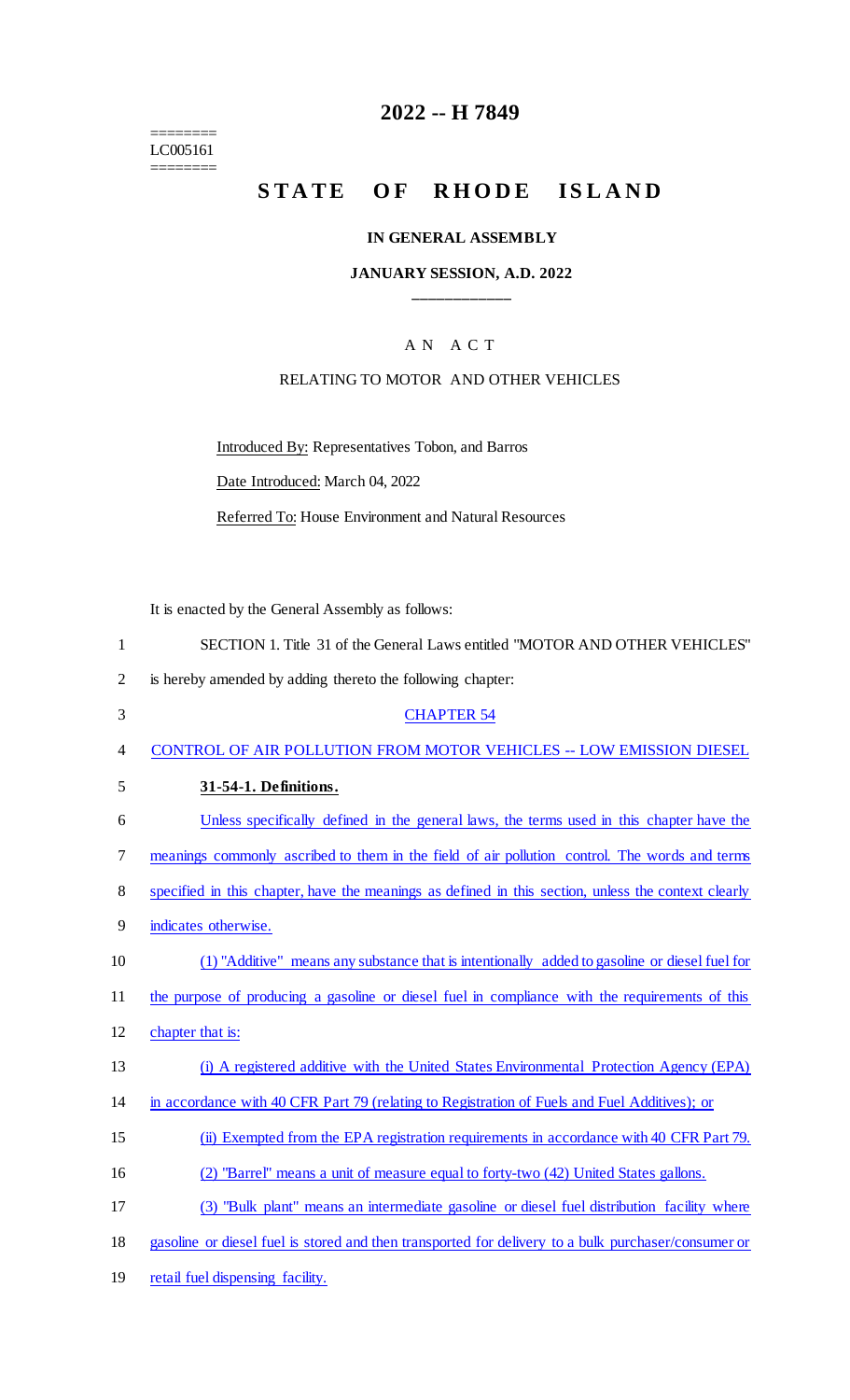======== LC005161 ========

# **2022 -- H 7849**

# STATE OF RHODE ISLAND

### **IN GENERAL ASSEMBLY**

## **JANUARY SESSION, A.D. 2022 \_\_\_\_\_\_\_\_\_\_\_\_**

# A N A C T

# RELATING TO MOTOR AND OTHER VEHICLES

Introduced By: Representatives Tobon, and Barros

Date Introduced: March 04, 2022

Referred To: House Environment and Natural Resources

It is enacted by the General Assembly as follows:

| $\mathbf{1}$   | SECTION 1. Title 31 of the General Laws entitled "MOTOR AND OTHER VEHICLES"                         |
|----------------|-----------------------------------------------------------------------------------------------------|
| $\overline{2}$ | is hereby amended by adding thereto the following chapter:                                          |
| 3              | <b>CHAPTER 54</b>                                                                                   |
| $\overline{4}$ | CONTROL OF AIR POLLUTION FROM MOTOR VEHICLES -- LOW EMISSION DIESEL                                 |
| 5              | 31-54-1. Definitions.                                                                               |
| 6              | Unless specifically defined in the general laws, the terms used in this chapter have the            |
| 7              | meanings commonly ascribed to them in the field of air pollution control. The words and terms       |
| 8              | specified in this chapter, have the meanings as defined in this section, unless the context clearly |
| 9              | indicates otherwise.                                                                                |
| 10             | (1) "Additive" means any substance that is intentionally added to gasoline or diesel fuel for       |
| 11             | the purpose of producing a gasoline or diesel fuel in compliance with the requirements of this      |
| 12             | chapter that is:                                                                                    |
| 13             | (i) A registered additive with the United States Environmental Protection Agency (EPA)              |
| 14             | in accordance with 40 CFR Part 79 (relating to Registration of Fuels and Fuel Additives); or        |
| 15             | (ii) Exempted from the EPA registration requirements in accordance with 40 CFR Part 79.             |
| 16             | (2) "Barrel" means a unit of measure equal to forty-two (42) United States gallons.                 |
| 17             | (3) "Bulk plant" means an intermediate gasoline or diesel fuel distribution facility where          |
| 18             | gasoline or diesel fuel is stored and then transported for delivery to a bulk purchaser/consumer or |
| 19             | retail fuel dispensing facility.                                                                    |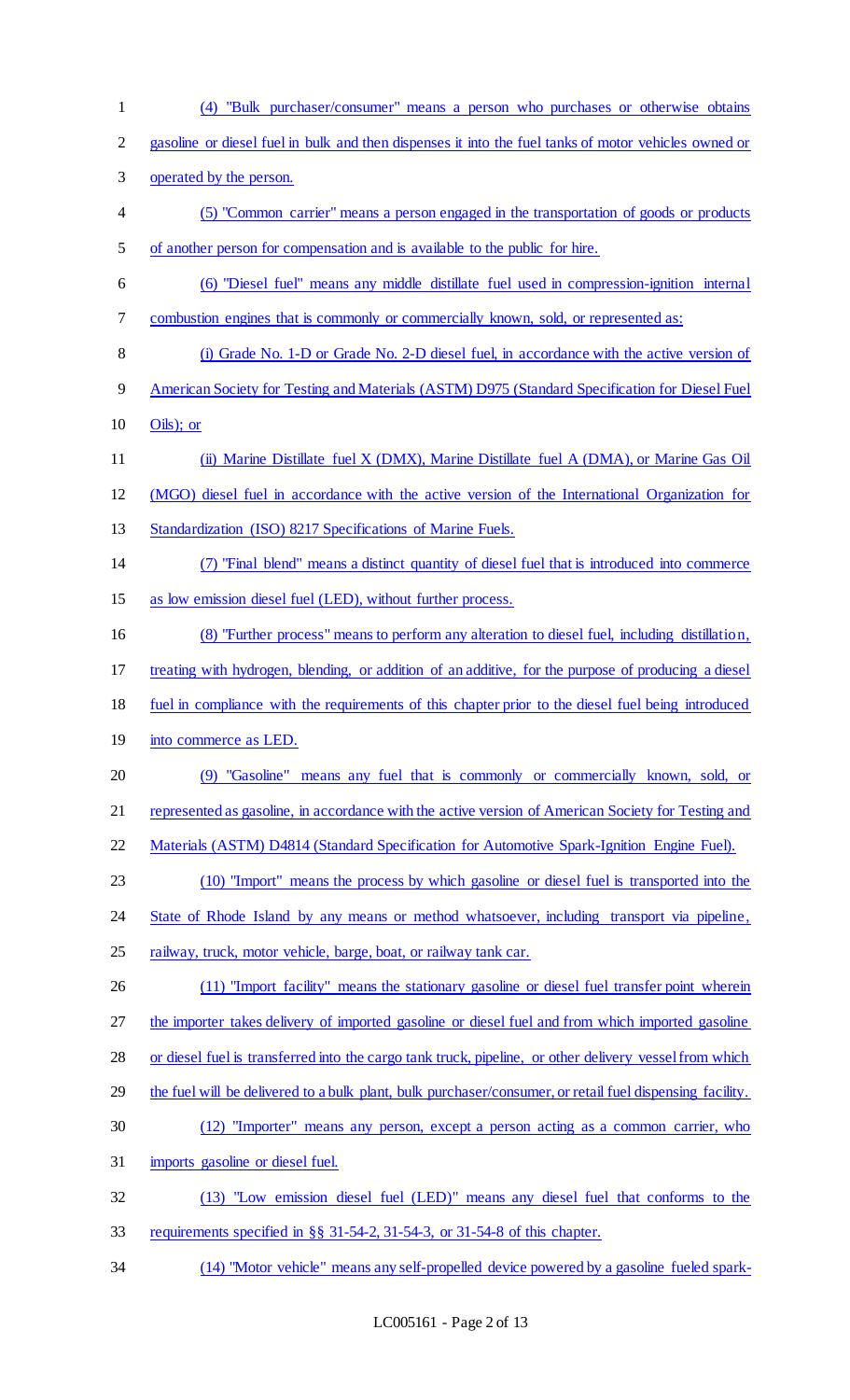(4) "Bulk purchaser/consumer" means a person who purchases or otherwise obtains gasoline or diesel fuel in bulk and then dispenses it into the fuel tanks of motor vehicles owned or operated by the person. (5) "Common carrier" means a person engaged in the transportation of goods or products of another person for compensation and is available to the public for hire. (6) "Diesel fuel" means any middle distillate fuel used in compression-ignition internal combustion engines that is commonly or commercially known, sold, or represented as: (i) Grade No. 1-D or Grade No. 2-D diesel fuel, in accordance with the active version of American Society for Testing and Materials (ASTM) D975 (Standard Specification for Diesel Fuel Oils); or (ii) Marine Distillate fuel X (DMX), Marine Distillate fuel A (DMA), or Marine Gas Oil (MGO) diesel fuel in accordance with the active version of the International Organization for 13 Standardization (ISO) 8217 Specifications of Marine Fuels. (7) "Final blend" means a distinct quantity of diesel fuel that is introduced into commerce as low emission diesel fuel (LED), without further process. (8) "Further process" means to perform any alteration to diesel fuel, including distillation, treating with hydrogen, blending, or addition of an additive, for the purpose of producing a diesel fuel in compliance with the requirements of this chapter prior to the diesel fuel being introduced 19 into commerce as LED. (9) "Gasoline" means any fuel that is commonly or commercially known, sold, or represented as gasoline, in accordance with the active version of American Society for Testing and 22 Materials (ASTM) D4814 (Standard Specification for Automotive Spark-Ignition Engine Fuel). (10) "Import" means the process by which gasoline or diesel fuel is transported into the 24 State of Rhode Island by any means or method whatsoever, including transport via pipeline, 25 railway, truck, motor vehicle, barge, boat, or railway tank car. 26 (11) "Import facility" means the stationary gasoline or diesel fuel transfer point wherein 27 the importer takes delivery of imported gasoline or diesel fuel and from which imported gasoline 28 or diesel fuel is transferred into the cargo tank truck, pipeline, or other delivery vessel from which 29 the fuel will be delivered to a bulk plant, bulk purchaser/consumer, or retail fuel dispensing facility. (12) "Importer" means any person, except a person acting as a common carrier, who imports gasoline or diesel fuel. (13) "Low emission diesel fuel (LED)" means any diesel fuel that conforms to the requirements specified in §§ 31-54-2, 31-54-3, or 31-54-8 of this chapter. (14) "Motor vehicle" means any self-propelled device powered by a gasoline fueled spark-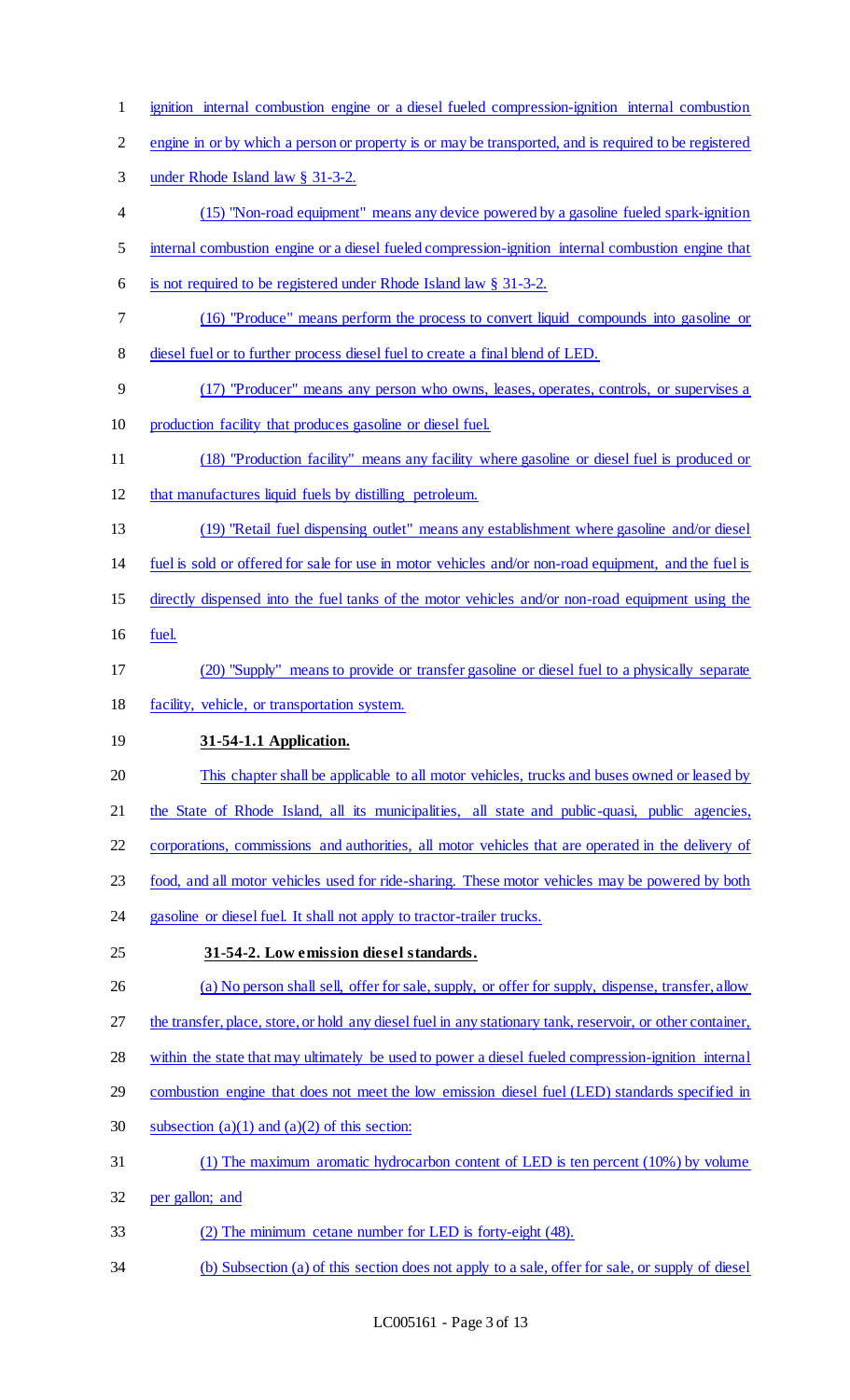- ignition internal combustion engine or a diesel fueled compression-ignition internal combustion
- engine in or by which a person or property is or may be transported, and is required to be registered
- under Rhode Island law § 31-3-2.
- (15) "Non-road equipment" means any device powered by a gasoline fueled spark-ignition
- internal combustion engine or a diesel fueled compression-ignition internal combustion engine that
- is not required to be registered under Rhode Island law § 31-3-2.
- (16) "Produce" means perform the process to convert liquid compounds into gasoline or
- diesel fuel or to further process diesel fuel to create a final blend of LED.
- (17) "Producer" means any person who owns, leases, operates, controls, or supervises a production facility that produces gasoline or diesel fuel.
- (18) "Production facility" means any facility where gasoline or diesel fuel is produced or
- that manufactures liquid fuels by distilling petroleum.
- (19) "Retail fuel dispensing outlet" means any establishment where gasoline and/or diesel
- fuel is sold or offered for sale for use in motor vehicles and/or non-road equipment, and the fuel is
- directly dispensed into the fuel tanks of the motor vehicles and/or non-road equipment using the
- fuel.
- (20) "Supply" means to provide or transfer gasoline or diesel fuel to a physically separate facility, vehicle, or transportation system.
- **31-54-1.1 Application.**
- 20 This chapter shall be applicable to all motor vehicles, trucks and buses owned or leased by
- the State of Rhode Island, all its municipalities, all state and public-quasi, public agencies,
- corporations, commissions and authorities, all motor vehicles that are operated in the delivery of
- food, and all motor vehicles used for ride-sharing. These motor vehicles may be powered by both
- 24 gasoline or diesel fuel. It shall not apply to tractor-trailer trucks.
- **31-54-2. Low emission diesel standards.**
- (a) No person shall sell, offer for sale, supply, or offer for supply, dispense, transfer, allow
- 27 the transfer, place, store, or hold any diesel fuel in any stationary tank, reservoir, or other container,
- within the state that may ultimately be used to power a diesel fueled compression-ignition internal
- 29 combustion engine that does not meet the low emission diesel fuel (LED) standards specified in
- 30 subsection  $(a)(1)$  and  $(a)(2)$  of this section:
- (1) The maximum aromatic hydrocarbon content of LED is ten percent (10%) by volume
- per gallon; and
- (2) The minimum cetane number for LED is forty-eight (48).
- (b) Subsection (a) of this section does not apply to a sale, offer for sale, or supply of diesel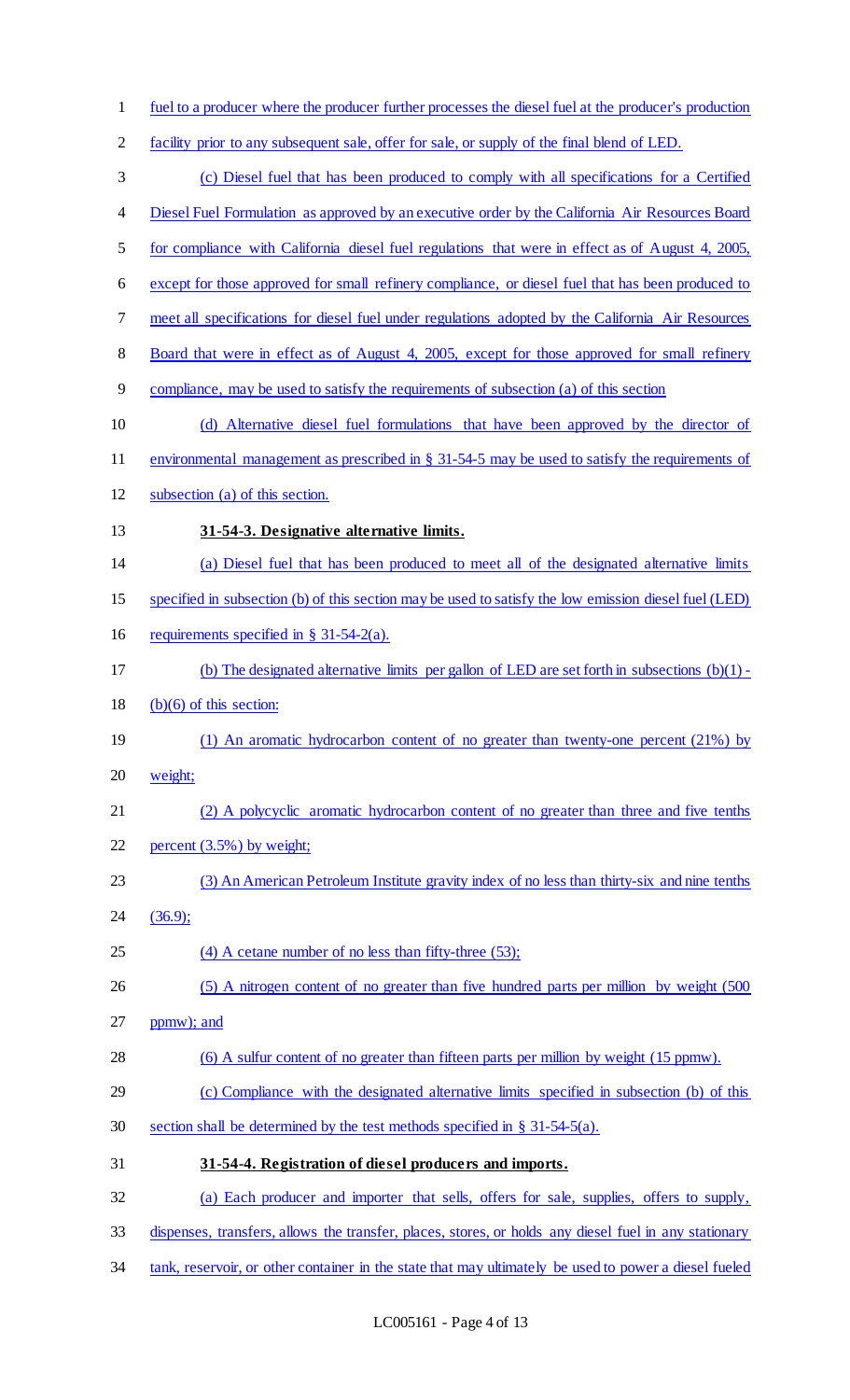- fuel to a producer where the producer further processes the diesel fuel at the producer's production 2 facility prior to any subsequent sale, offer for sale, or supply of the final blend of LED. (c) Diesel fuel that has been produced to comply with all specifications for a Certified 4 Diesel Fuel Formulation as approved by an executive order by the California Air Resources Board for compliance with California diesel fuel regulations that were in effect as of August 4, 2005, except for those approved for small refinery compliance, or diesel fuel that has been produced to meet all specifications for diesel fuel under regulations adopted by the California Air Resources 8 Board that were in effect as of August 4, 2005, except for those approved for small refinery compliance, may be used to satisfy the requirements of subsection (a) of this section (d) Alternative diesel fuel formulations that have been approved by the director of environmental management as prescribed in § 31-54-5 may be used to satisfy the requirements of subsection (a) of this section. **31-54-3. Designative alternative limits.**  (a) Diesel fuel that has been produced to meet all of the designated alternative limits specified in subsection (b) of this section may be used to satisfy the low emission diesel fuel (LED) requirements specified in § 31-54-2(a). (b) The designated alternative limits per gallon of LED are set forth in subsections (b)(1) - 18 (b) $(6)$  of this section: (1) An aromatic hydrocarbon content of no greater than twenty-one percent (21%) by weight; (2) A polycyclic aromatic hydrocarbon content of no greater than three and five tenths percent (3.5%) by weight; (3) An American Petroleum Institute gravity index of no less than thirty-six and nine tenths (36.9); (4) A cetane number of no less than fifty-three (53); 26 (5) A nitrogen content of no greater than five hundred parts per million by weight (500) ppmw); and (6) A sulfur content of no greater than fifteen parts per million by weight (15 ppmw). (c) Compliance with the designated alternative limits specified in subsection (b) of this section shall be determined by the test methods specified in § 31-54-5(a). **31-54-4. Registration of diesel producers and imports.**  (a) Each producer and importer that sells, offers for sale, supplies, offers to supply, dispenses, transfers, allows the transfer, places, stores, or holds any diesel fuel in any stationary
- 34 tank, reservoir, or other container in the state that may ultimately be used to power a diesel fueled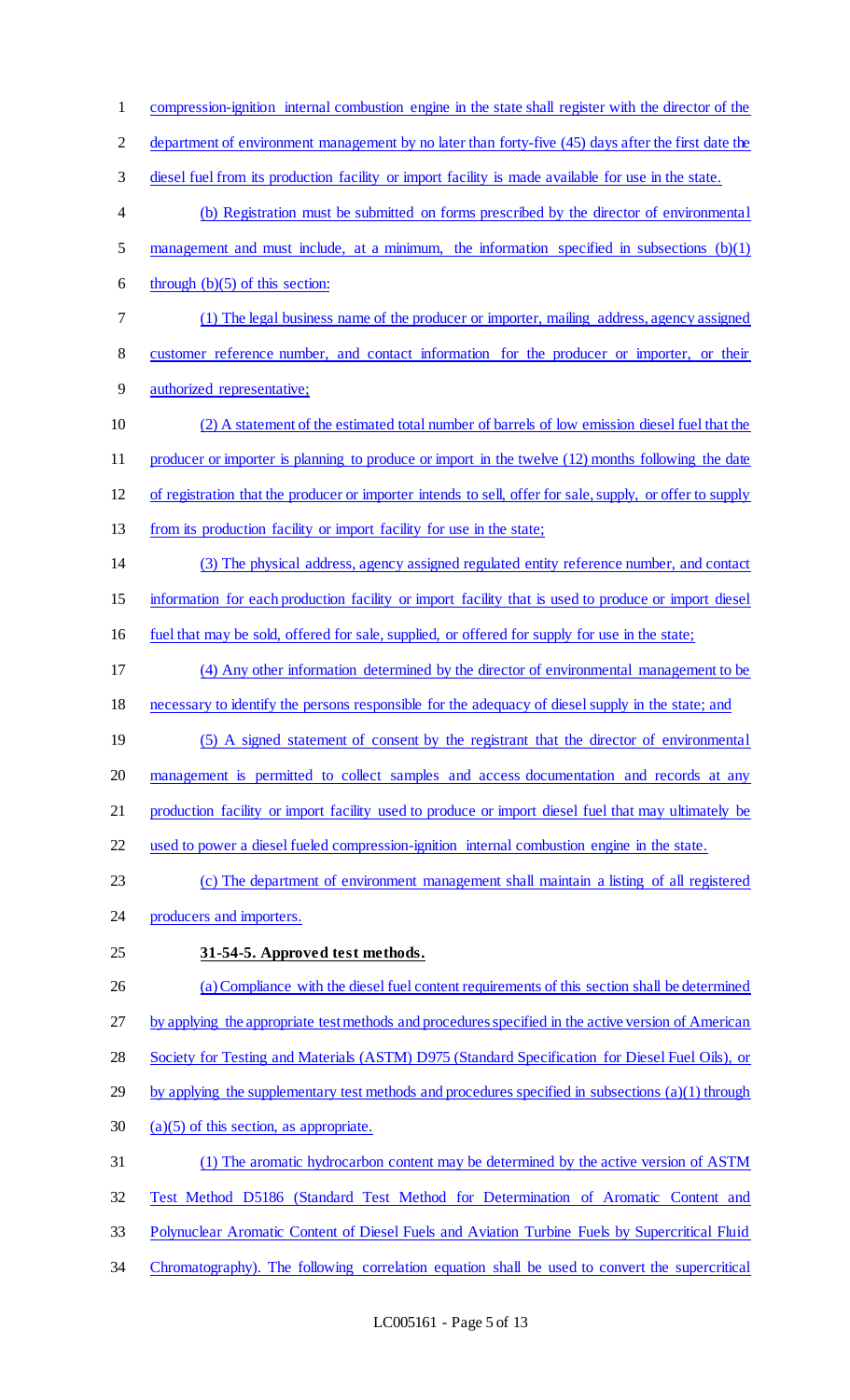compression-ignition internal combustion engine in the state shall register with the director of the 2 department of environment management by no later than forty-five (45) days after the first date the diesel fuel from its production facility or import facility is made available for use in the state. (b) Registration must be submitted on forms prescribed by the director of environmental management and must include, at a minimum, the information specified in subsections (b)(1) 6 through  $(b)(5)$  of this section: (1) The legal business name of the producer or importer, mailing address, agency assigned customer reference number, and contact information for the producer or importer, or their authorized representative; (2) A statement of the estimated total number of barrels of low emission diesel fuel that the 11 producer or importer is planning to produce or import in the twelve (12) months following the date of registration that the producer or importer intends to sell, offer for sale, supply, or offer to supply from its production facility or import facility for use in the state; (3) The physical address, agency assigned regulated entity reference number, and contact information for each production facility or import facility that is used to produce or import diesel fuel that may be sold, offered for sale, supplied, or offered for supply for use in the state; (4) Any other information determined by the director of environmental management to be necessary to identify the persons responsible for the adequacy of diesel supply in the state; and 19 (5) A signed statement of consent by the registrant that the director of environmental management is permitted to collect samples and access documentation and records at any production facility or import facility used to produce or import diesel fuel that may ultimately be used to power a diesel fueled compression-ignition internal combustion engine in the state. (c) The department of environment management shall maintain a listing of all registered producers and importers. **31-54-5. Approved test methods.**  (a) Compliance with the diesel fuel content requirements of this section shall be determined by applying the appropriate test methods and procedures specified in the active version of American Society for Testing and Materials (ASTM) D975 (Standard Specification for Diesel Fuel Oils), or 29 by applying the supplementary test methods and procedures specified in subsections (a)(1) through 30 (a)(5) of this section, as appropriate. (1) The aromatic hydrocarbon content may be determined by the active version of ASTM Test Method D5186 (Standard Test Method for Determination of Aromatic Content and Polynuclear Aromatic Content of Diesel Fuels and Aviation Turbine Fuels by Supercritical Fluid Chromatography). The following correlation equation shall be used to convert the supercritical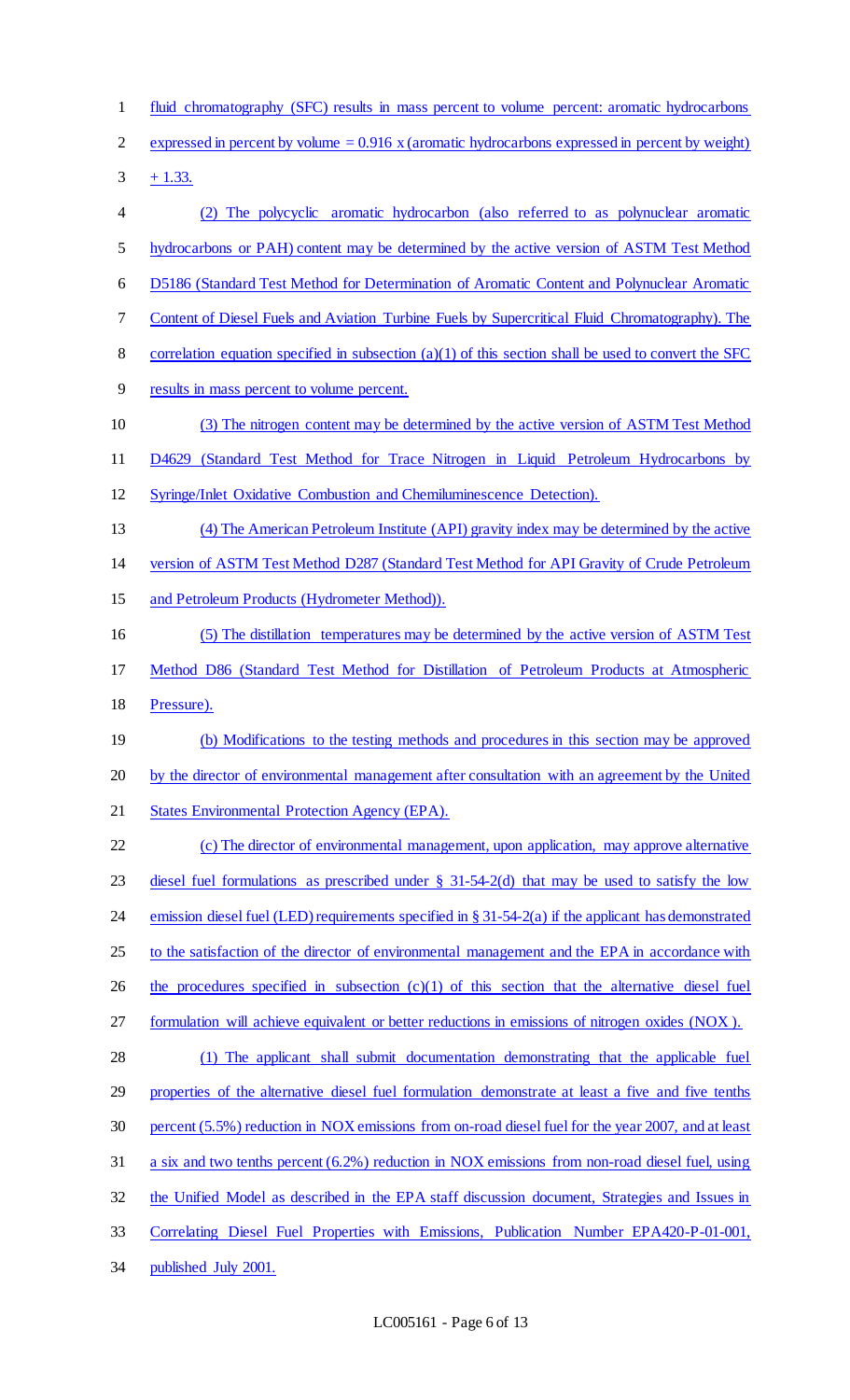- fluid chromatography (SFC) results in mass percent to volume percent: aromatic hydrocarbons
- 2 expressed in percent by volume  $= 0.916$  x (aromatic hydrocarbons expressed in percent by weight)

 $3 + 1.33$ .

 (2) The polycyclic aromatic hydrocarbon (also referred to as polynuclear aromatic hydrocarbons or PAH) content may be determined by the active version of ASTM Test Method D5186 (Standard Test Method for Determination of Aromatic Content and Polynuclear Aromatic Content of Diesel Fuels and Aviation Turbine Fuels by Supercritical Fluid Chromatography). The correlation equation specified in subsection (a)(1) of this section shall be used to convert the SFC results in mass percent to volume percent. (3) The nitrogen content may be determined by the active version of ASTM Test Method D4629 (Standard Test Method for Trace Nitrogen in Liquid Petroleum Hydrocarbons by Syringe/Inlet Oxidative Combustion and Chemiluminescence Detection). (4) The American Petroleum Institute (API) gravity index may be determined by the active version of ASTM Test Method D287 (Standard Test Method for API Gravity of Crude Petroleum 15 and Petroleum Products (Hydrometer Method)). (5) The distillation temperatures may be determined by the active version of ASTM Test Method D86 (Standard Test Method for Distillation of Petroleum Products at Atmospheric Pressure). (b) Modifications to the testing methods and procedures in this section may be approved by the director of environmental management after consultation with an agreement by the United States Environmental Protection Agency (EPA). 22 (c) The director of environmental management, upon application, may approve alternative 23 diesel fuel formulations as prescribed under  $\S$  31-54-2(d) that may be used to satisfy the low emission diesel fuel (LED) requirements specified in § 31-54-2(a) if the applicant has demonstrated 25 to the satisfaction of the director of environmental management and the EPA in accordance with 26 the procedures specified in subsection (c)(1) of this section that the alternative diesel fuel formulation will achieve equivalent or better reductions in emissions of nitrogen oxides (NOX ). (1) The applicant shall submit documentation demonstrating that the applicable fuel properties of the alternative diesel fuel formulation demonstrate at least a five and five tenths percent (5.5%) reduction in NOX emissions from on-road diesel fuel for the year 2007, and at least a six and two tenths percent (6.2%) reduction in NOX emissions from non-road diesel fuel, using the Unified Model as described in the EPA staff discussion document, Strategies and Issues in Correlating Diesel Fuel Properties with Emissions, Publication Number EPA420-P-01-001, published July 2001.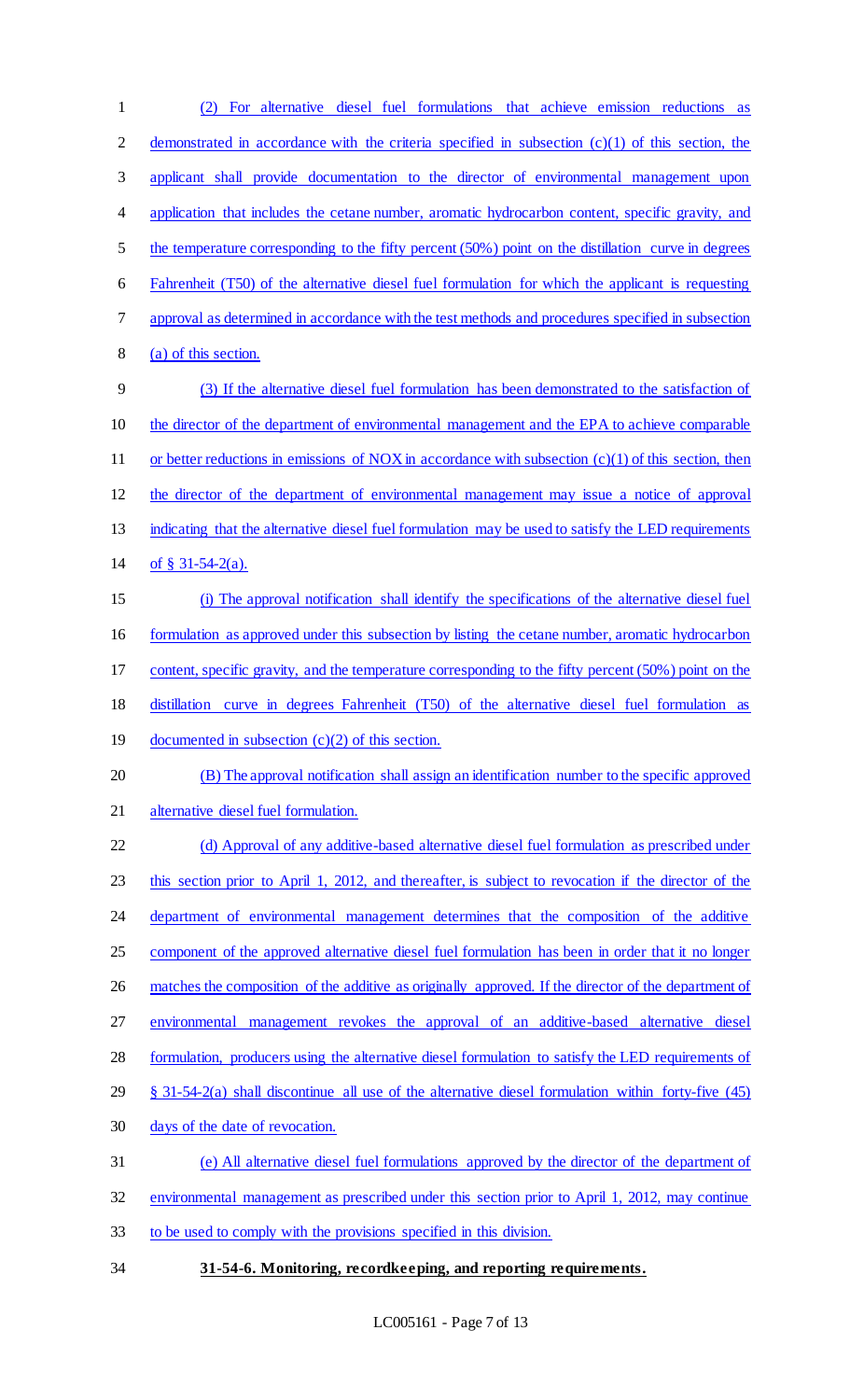(2) For alternative diesel fuel formulations that achieve emission reductions as 2 demonstrated in accordance with the criteria specified in subsection (c)(1) of this section, the applicant shall provide documentation to the director of environmental management upon 4 application that includes the cetane number, aromatic hydrocarbon content, specific gravity, and the temperature corresponding to the fifty percent (50%) point on the distillation curve in degrees Fahrenheit (T50) of the alternative diesel fuel formulation for which the applicant is requesting approval as determined in accordance with the test methods and procedures specified in subsection (a) of this section. (3) If the alternative diesel fuel formulation has been demonstrated to the satisfaction of the director of the department of environmental management and the EPA to achieve comparable 11 or better reductions in emissions of NOX in accordance with subsection (c)(1) of this section, then the director of the department of environmental management may issue a notice of approval 13 indicating that the alternative diesel fuel formulation may be used to satisfy the LED requirements of § 31-54-2(a). (i) The approval notification shall identify the specifications of the alternative diesel fuel formulation as approved under this subsection by listing the cetane number, aromatic hydrocarbon content, specific gravity, and the temperature corresponding to the fifty percent (50%) point on the distillation curve in degrees Fahrenheit (T50) of the alternative diesel fuel formulation as 19 documented in subsection (c)(2) of this section. (B) The approval notification shall assign an identification number to the specific approved alternative diesel fuel formulation. (d) Approval of any additive-based alternative diesel fuel formulation as prescribed under this section prior to April 1, 2012, and thereafter, is subject to revocation if the director of the department of environmental management determines that the composition of the additive component of the approved alternative diesel fuel formulation has been in order that it no longer 26 matches the composition of the additive as originally approved. If the director of the department of environmental management revokes the approval of an additive-based alternative diesel formulation, producers using the alternative diesel formulation to satisfy the LED requirements of § 31-54-2(a) shall discontinue all use of the alternative diesel formulation within forty-five (45) days of the date of revocation. (e) All alternative diesel fuel formulations approved by the director of the department of environmental management as prescribed under this section prior to April 1, 2012, may continue to be used to comply with the provisions specified in this division.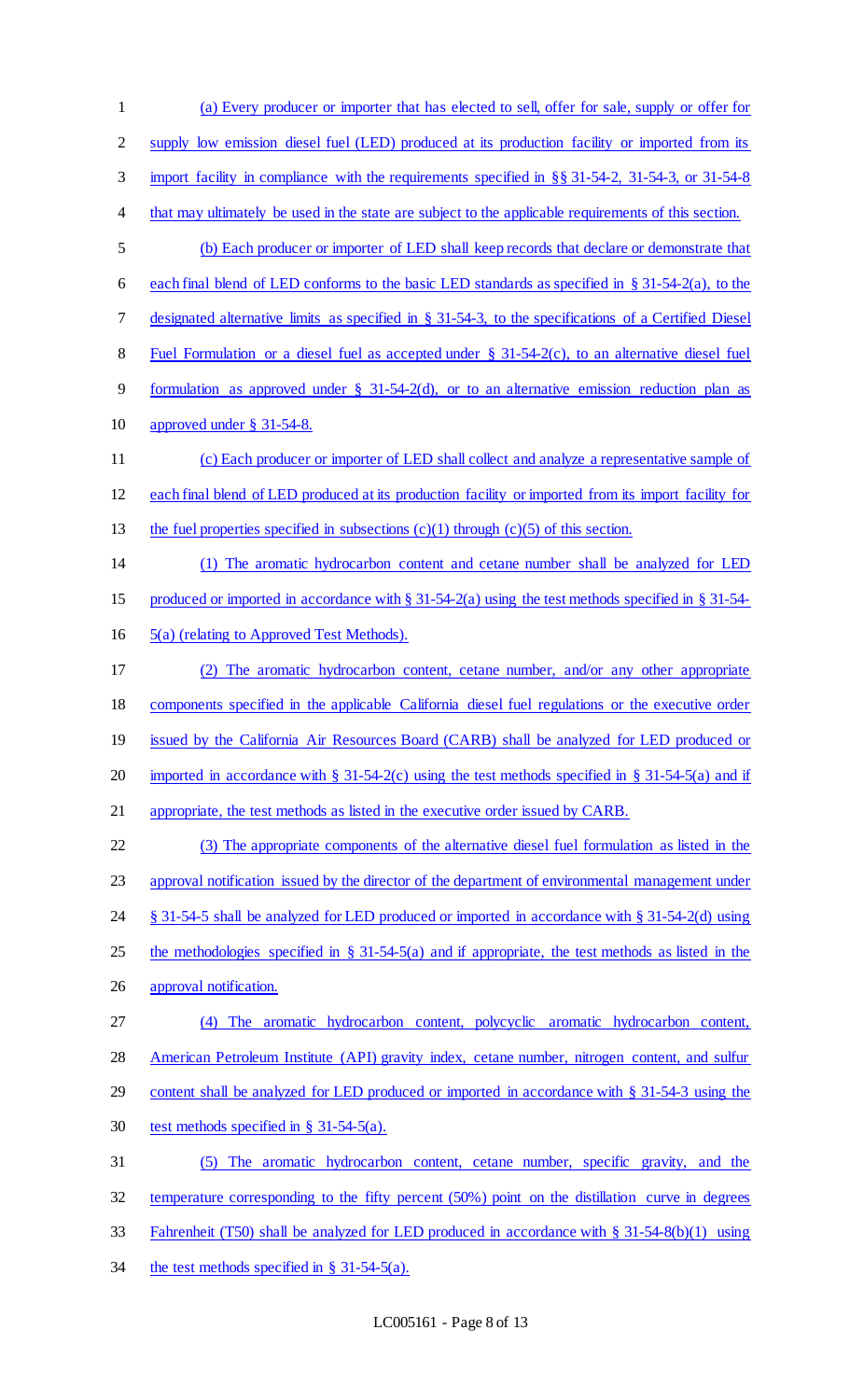(a) Every producer or importer that has elected to sell, offer for sale, supply or offer for 2 supply low emission diesel fuel (LED) produced at its production facility or imported from its import facility in compliance with the requirements specified in §§ 31-54-2, 31-54-3, or 31-54-8 4 that may ultimately be used in the state are subject to the applicable requirements of this section. (b) Each producer or importer of LED shall keep records that declare or demonstrate that 6 each final blend of LED conforms to the basic LED standards as specified in  $\S 31-54-2(a)$ , to the designated alternative limits as specified in § 31-54-3, to the specifications of a Certified Diesel Fuel Formulation or a diesel fuel as accepted under § 31-54-2(c), to an alternative diesel fuel formulation as approved under § 31-54-2(d), or to an alternative emission reduction plan as approved under § 31-54-8. (c) Each producer or importer of LED shall collect and analyze a representative sample of each final blend of LED produced at its production facility or imported from its import facility for 13 the fuel properties specified in subsections  $(c)(1)$  through  $(c)(5)$  of this section. (1) The aromatic hydrocarbon content and cetane number shall be analyzed for LED produced or imported in accordance with § 31-54-2(a) using the test methods specified in § 31-54- 5(a) (relating to Approved Test Methods). (2) The aromatic hydrocarbon content, cetane number, and/or any other appropriate components specified in the applicable California diesel fuel regulations or the executive order 19 issued by the California Air Resources Board (CARB) shall be analyzed for LED produced or 20 imported in accordance with  $\S 31-54-2(c)$  using the test methods specified in  $\S 31-54-5(a)$  and if appropriate, the test methods as listed in the executive order issued by CARB. (3) The appropriate components of the alternative diesel fuel formulation as listed in the approval notification issued by the director of the department of environmental management under § 31-54-5 shall be analyzed for LED produced or imported in accordance with § 31-54-2(d) using 25 the methodologies specified in § 31-54-5(a) and if appropriate, the test methods as listed in the approval notification. (4) The aromatic hydrocarbon content, polycyclic aromatic hydrocarbon content, American Petroleum Institute (API) gravity index, cetane number, nitrogen content, and sulfur 29 content shall be analyzed for LED produced or imported in accordance with § 31-54-3 using the test methods specified in § 31-54-5(a). (5) The aromatic hydrocarbon content, cetane number, specific gravity, and the temperature corresponding to the fifty percent (50%) point on the distillation curve in degrees Fahrenheit (T50) shall be analyzed for LED produced in accordance with § 31-54-8(b)(1) using 34 the test methods specified in § 31-54-5(a).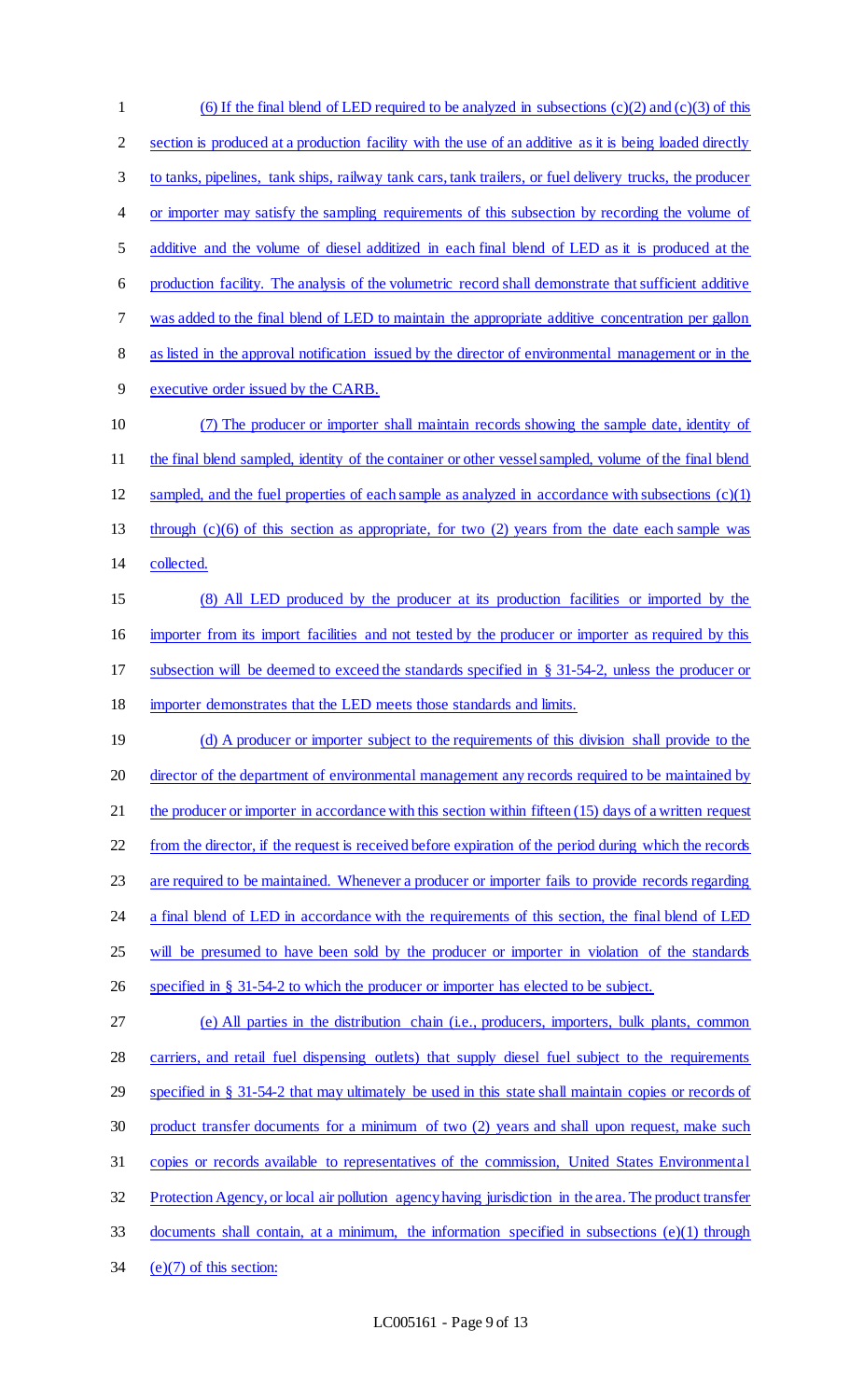(6) If the final blend of LED required to be analyzed in subsections (c)(2) and (c)(3) of this section is produced at a production facility with the use of an additive as it is being loaded directly to tanks, pipelines, tank ships, railway tank cars, tank trailers, or fuel delivery trucks, the producer 4 or importer may satisfy the sampling requirements of this subsection by recording the volume of additive and the volume of diesel additized in each final blend of LED as it is produced at the production facility. The analysis of the volumetric record shall demonstrate that sufficient additive was added to the final blend of LED to maintain the appropriate additive concentration per gallon as listed in the approval notification issued by the director of environmental management or in the executive order issued by the CARB. (7) The producer or importer shall maintain records showing the sample date, identity of 11 the final blend sampled, identity of the container or other vessel sampled, volume of the final blend 12 sampled, and the fuel properties of each sample as analyzed in accordance with subsections  $(c)(1)$  through (c)(6) of this section as appropriate, for two (2) years from the date each sample was collected. (8) All LED produced by the producer at its production facilities or imported by the importer from its import facilities and not tested by the producer or importer as required by this subsection will be deemed to exceed the standards specified in § 31-54-2, unless the producer or importer demonstrates that the LED meets those standards and limits. 19 (d) A producer or importer subject to the requirements of this division shall provide to the 20 director of the department of environmental management any records required to be maintained by 21 the producer or importer in accordance with this section within fifteen (15) days of a written request 22 from the director, if the request is received before expiration of the period during which the records are required to be maintained. Whenever a producer or importer fails to provide records regarding 24 a final blend of LED in accordance with the requirements of this section, the final blend of LED 25 will be presumed to have been sold by the producer or importer in violation of the standards specified in § 31-54-2 to which the producer or importer has elected to be subject. (e) All parties in the distribution chain (i.e., producers, importers, bulk plants, common carriers, and retail fuel dispensing outlets) that supply diesel fuel subject to the requirements specified in § 31-54-2 that may ultimately be used in this state shall maintain copies or records of product transfer documents for a minimum of two (2) years and shall upon request, make such copies or records available to representatives of the commission, United States Environmental 32 Protection Agency, or local air pollution agency having jurisdiction in the area. The product transfer documents shall contain, at a minimum, the information specified in subsections (e)(1) through  $(e)(7)$  of this section: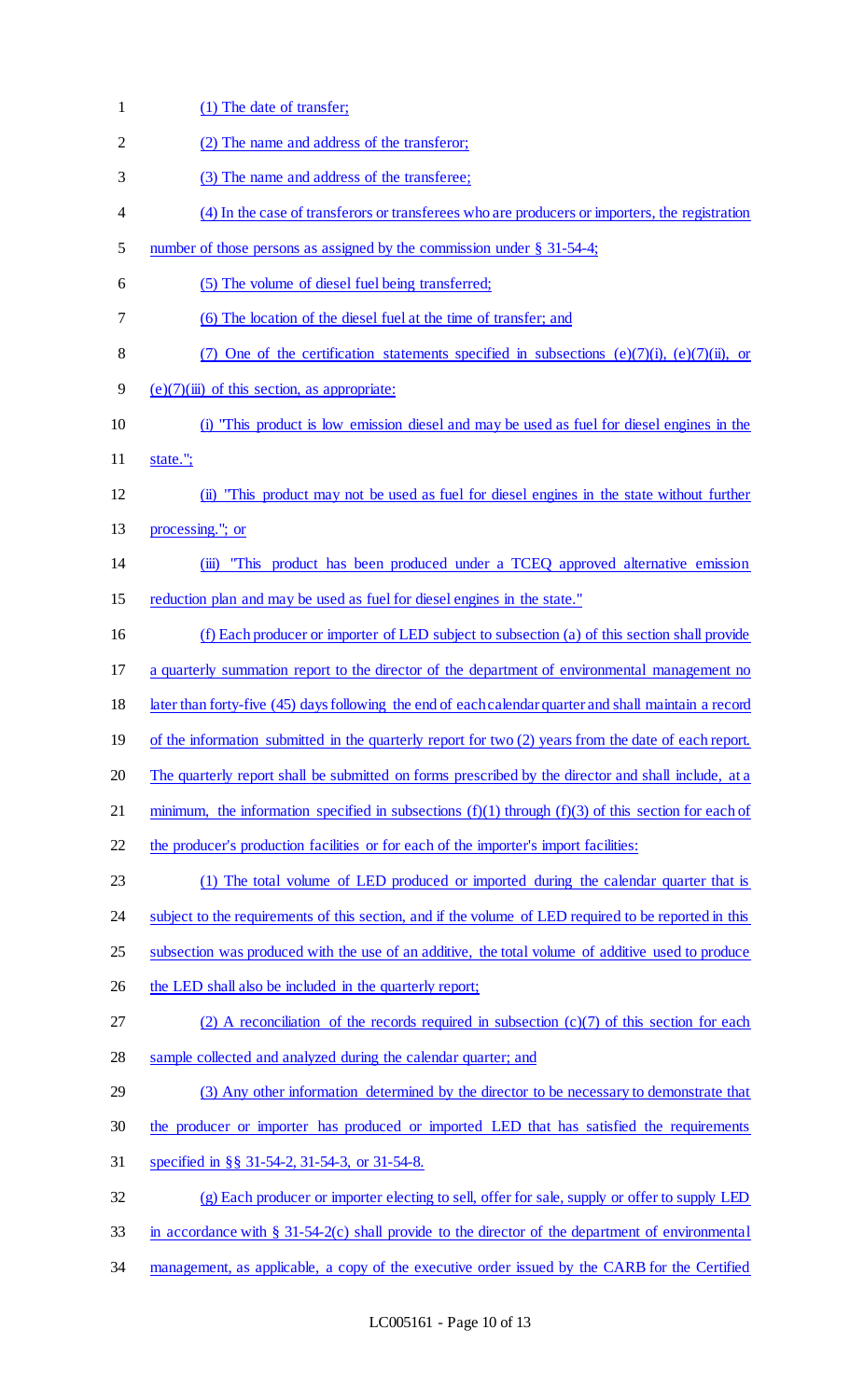| $\mathbf{1}$ | (1) The date of transfer;                                                                               |
|--------------|---------------------------------------------------------------------------------------------------------|
| 2            | (2) The name and address of the transferor;                                                             |
| 3            | (3) The name and address of the transferee;                                                             |
| 4            | (4) In the case of transferors or transferees who are producers or importers, the registration          |
| 5            | number of those persons as assigned by the commission under $\S$ 31-54-4;                               |
| 6            | (5) The volume of diesel fuel being transferred;                                                        |
| 7            | (6) The location of the diesel fuel at the time of transfer; and                                        |
| 8            | (7) One of the certification statements specified in subsections (e)(7)(i), (e)(7)(ii), or              |
| 9            | $(e)(7)(iii)$ of this section, as appropriate:                                                          |
| 10           | (i) "This product is low emission diesel and may be used as fuel for diesel engines in the              |
| 11           | state.";                                                                                                |
| 12           | (ii) "This product may not be used as fuel for diesel engines in the state without further              |
| 13           | processing."; or                                                                                        |
| 14           | "This product has been produced under a TCEQ approved alternative emission<br>$\overline{(\mathbf{m})}$ |
| 15           | reduction plan and may be used as fuel for diesel engines in the state."                                |
| 16           | (f) Each producer or importer of LED subject to subsection (a) of this section shall provide            |
| 17           | a quarterly summation report to the director of the department of environmental management no           |
| 18           | later than forty-five (45) days following the end of each calendar quarter and shall maintain a record  |
| 19           | of the information submitted in the quarterly report for two (2) years from the date of each report.    |
| 20           | The quarterly report shall be submitted on forms prescribed by the director and shall include, at a     |
| 21           | minimum, the information specified in subsections $(f)(1)$ through $(f)(3)$ of this section for each of |
| 22           | the producer's production facilities or for each of the importer's import facilities:                   |
| 23           | (1) The total volume of LED produced or imported during the calendar quarter that is                    |
| 24           | subject to the requirements of this section, and if the volume of LED required to be reported in this   |
| 25           | subsection was produced with the use of an additive, the total volume of additive used to produce       |
| 26           | the LED shall also be included in the quarterly report;                                                 |
| 27           | (2) A reconciliation of the records required in subsection $(c)(7)$ of this section for each            |
| 28           | sample collected and analyzed during the calendar quarter; and                                          |
| 29           | (3) Any other information determined by the director to be necessary to demonstrate that                |
| 30           | the producer or importer has produced or imported LED that has satisfied the requirements               |
| 31           | specified in §§ 31-54-2, 31-54-3, or 31-54-8.                                                           |
| 32           | (g) Each producer or importer electing to sell, offer for sale, supply or offer to supply LED           |
| 33           | in accordance with $\S$ 31-54-2(c) shall provide to the director of the department of environmental     |
| 34           | management, as applicable, a copy of the executive order issued by the CARB for the Certified           |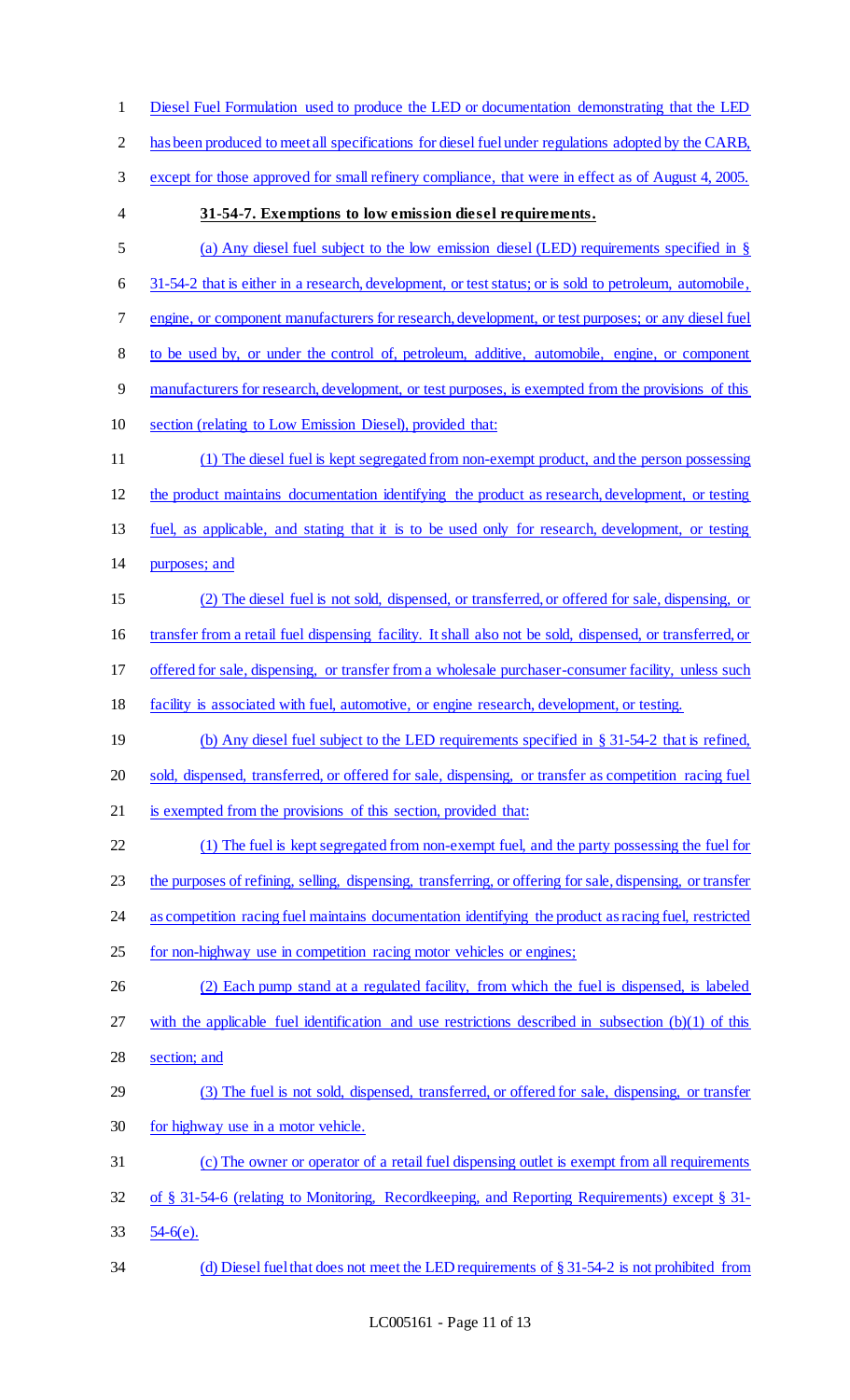| $\mathbf{1}$   | Diesel Fuel Formulation used to produce the LED or documentation demonstrating that the LED                |
|----------------|------------------------------------------------------------------------------------------------------------|
| $\overline{2}$ | has been produced to meet all specifications for diesel fuel under regulations adopted by the CARB,        |
| 3              | except for those approved for small refinery compliance, that were in effect as of August 4, 2005.         |
| 4              | 31-54-7. Exemptions to low emission diesel requirements.                                                   |
| 5              | (a) Any diesel fuel subject to the low emission diesel (LED) requirements specified in $\S$                |
| 6              | 31-54-2 that is either in a research, development, or test status; or is sold to petroleum, automobile,    |
| 7              | engine, or component manufacturers for research, development, or test purposes; or any diesel fuel         |
| 8              | to be used by, or under the control of, petroleum, additive, automobile, engine, or component              |
| 9              | manufacturers for research, development, or test purposes, is exempted from the provisions of this         |
| 10             | section (relating to Low Emission Diesel), provided that:                                                  |
| 11             | (1) The diesel fuel is kept segregated from non-exempt product, and the person possessing                  |
| 12             | the product maintains documentation identifying the product as research, development, or testing           |
| 13             | fuel, as applicable, and stating that it is to be used only for research, development, or testing          |
| 14             | purposes; and                                                                                              |
| 15             | The diesel fuel is not sold, dispensed, or transferred, or offered for sale, dispensing, or                |
| 16             | transfer from a retail fuel dispensing facility. It shall also not be sold, dispensed, or transferred, or  |
| 17             | offered for sale, dispensing, or transfer from a wholesale purchaser-consumer facility, unless such        |
| 18             | facility is associated with fuel, automotive, or engine research, development, or testing.                 |
| 19             | (b) Any diesel fuel subject to the LED requirements specified in $\S 31-54-2$ that is refined,             |
| 20             | sold, dispensed, transferred, or offered for sale, dispensing, or transfer as competition racing fuel      |
| 21             | is exempted from the provisions of this section, provided that:                                            |
| 22             | (1) The fuel is kept segregated from non-exempt fuel, and the party possessing the fuel for                |
| 23             | the purposes of refining, selling, dispensing, transferring, or offering for sale, dispensing, or transfer |
| 24             | as competition racing fuel maintains documentation identifying the product as racing fuel, restricted      |
| 25             | for non-highway use in competition racing motor vehicles or engines;                                       |
| 26             | (2) Each pump stand at a regulated facility, from which the fuel is dispensed, is labeled                  |
| 27             | with the applicable fuel identification and use restrictions described in subsection $(b)(1)$ of this      |
| 28             | section; and                                                                                               |
| 29             | (3) The fuel is not sold, dispensed, transferred, or offered for sale, dispensing, or transfer             |
| 30             | for highway use in a motor vehicle.                                                                        |
| 31             | (c) The owner or operator of a retail fuel dispensing outlet is exempt from all requirements               |
| 32             | of § 31-54-6 (relating to Monitoring, Recordkeeping, and Reporting Requirements) except § 31-              |
| 33             | $54-6(e)$ .                                                                                                |
| 34             | (d) Diesel fuel that does not meet the LED requirements of $\S 31-54-2$ is not prohibited from             |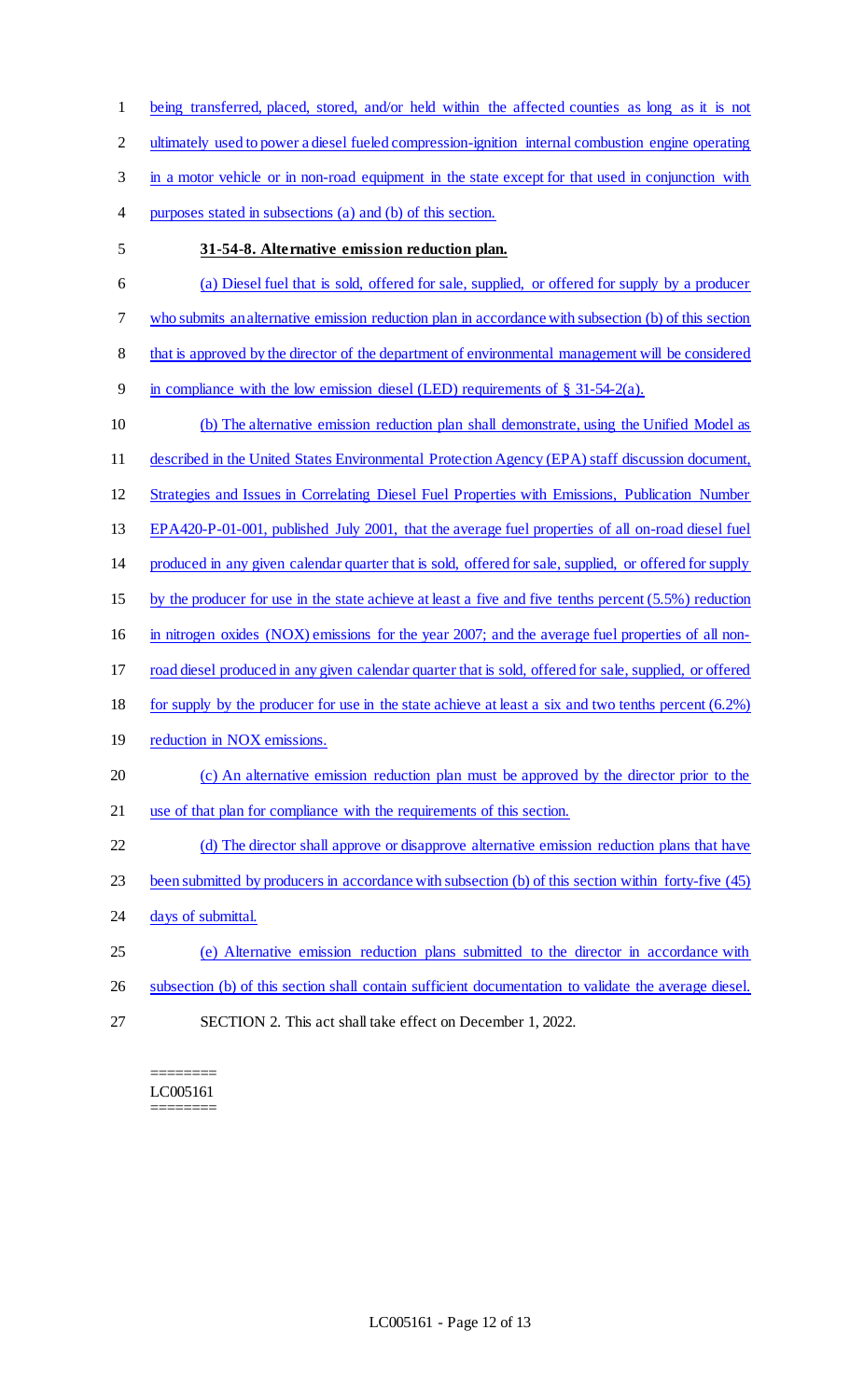being transferred, placed, stored, and/or held within the affected counties as long as it is not 2 ultimately used to power a diesel fueled compression-ignition internal combustion engine operating 3 in a motor vehicle or in non-road equipment in the state except for that used in conjunction with purposes stated in subsections (a) and (b) of this section. **31-54-8. Alternative emission reduction plan.**  (a) Diesel fuel that is sold, offered for sale, supplied, or offered for supply by a producer who submits an alternative emission reduction plan in accordance with subsection (b) of this section 8 that is approved by the director of the department of environmental management will be considered 9 in compliance with the low emission diesel (LED) requirements of  $\S$  31-54-2(a). (b) The alternative emission reduction plan shall demonstrate, using the Unified Model as described in the United States Environmental Protection Agency (EPA) staff discussion document, Strategies and Issues in Correlating Diesel Fuel Properties with Emissions, Publication Number EPA420-P-01-001, published July 2001, that the average fuel properties of all on-road diesel fuel produced in any given calendar quarter that is sold, offered for sale, supplied, or offered for supply by the producer for use in the state achieve at least a five and five tenths percent (5.5%) reduction in nitrogen oxides (NOX) emissions for the year 2007; and the average fuel properties of all non- road diesel produced in any given calendar quarter that is sold, offered for sale, supplied, or offered for supply by the producer for use in the state achieve at least a six and two tenths percent (6.2%) 19 reduction in NOX emissions. (c) An alternative emission reduction plan must be approved by the director prior to the use of that plan for compliance with the requirements of this section. (d) The director shall approve or disapprove alternative emission reduction plans that have been submitted by producers in accordance with subsection (b) of this section within forty-five (45) 24 days of submittal. (e) Alternative emission reduction plans submitted to the director in accordance with subsection (b) of this section shall contain sufficient documentation to validate the average diesel. SECTION 2. This act shall take effect on December 1, 2022.

======== LC005161 ========